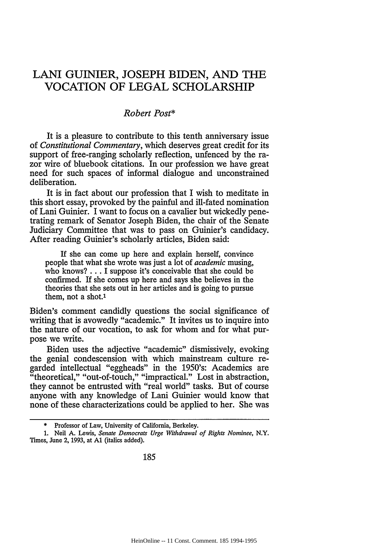## LANI GUINIER, JOSEPH BIDEN, AND THE VOCATION OF LEGAL SCHOLARSHIP

## *Robert Post\**

It is a pleasure to contribute to this tenth anniversary issue of *Constitutional Commentary,* which deserves great credit for its support of free-ranging scholarly reflection, unfenced **by** the razor wire of bluebook citations. In our profession we have great need for such spaces of informal dialogue and unconstrained deliberation.

It is in fact about our profession that I wish to meditate in this short essay, provoked **by** the painful and ill-fated nomination of Lani Guinier. I want to focus on a cavalier but wickedly penetrating remark of Senator Joseph Biden, the chair of the Senate Judiciary Committee that was to pass on Guinier's candidacy. After reading Guinier's scholarly articles, Biden said:

If she can come up here and explain herself, convince people that what she wrote was just a lot of *academic* musing, who knows? **...** I suppose it's conceivable that she could be confirmed. If she comes up here and says she believes in the theories that she sets out in her articles and is going to pursue them, not a shot.1

Biden's comment candidly questions the social significance of writing that is avowedly "academic." It invites us to inquire into the nature of our vocation, to ask for whom and for what purpose we write.

Biden uses the adjective "academic" dismissively, evoking the genial condescension with which mainstream culture regarded intellectual "eggheads" in the 1950's: Academics are "theoretical," "out-of-touch," "impractical." Lost in abstraction, they cannot be entrusted with "real world" tasks. But of course anyone with any knowledge of Lani Guinier would know that none of these characterizations could be applied to her. She was

<sup>\*</sup> Professor of Law, University of California, Berkeley.

<sup>1.</sup> Neil **A.** Lewis, *Senate Democrats Urge Withdrawal of Rights Nominee,* N.Y. Times, June 2, 1993, at **Al** (italics added).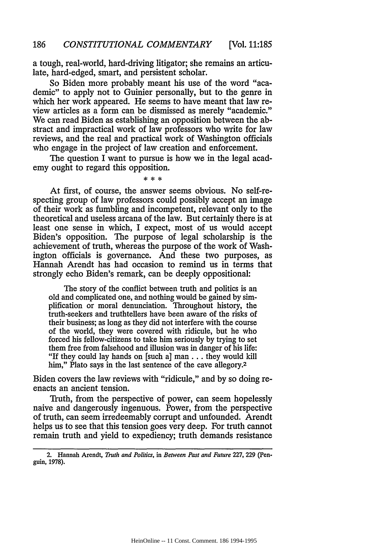a tough, real-world, hard-driving litigator; she remains an articulate, hard-edged, smart, and persistent scholar.

So Biden more probably meant his use of the word "academic" to apply not to Guinier personally, but to the genre in which her work appeared. He seems to have meant that law review articles as a form can be dismissed as merely "academic." We can read Biden as establishing an opposition between the abstract and impractical work of law professors who write for law reviews, and the real and practical work of Washington officials who engage in the project of law creation and enforcement.

The question I want to pursue is how we in the legal academy ought to regard this opposition.

 $* * *$ 

At first, of course, the answer seems obvious. No self-respecting group of law professors could possibly accept an image of their work as fumbling and incompetent, relevant only to the theoretical and useless arcana of the law. But certainly there is at least one sense in which, I expect, most of us would accept Biden's opposition. The purpose of legal scholarship is the achievement of truth, whereas the purpose of the work of Washington officials is governance. And these two purposes, as Hannah Arendt has had occasion to remind us in terms that strongly echo Biden's remark, can be deeply oppositional:

The story of the conflict between truth and politics is an old and complicated one, and nothing would be gained by simplification or moral denunciation. Throughout history, the truth-seekers and truthtellers have been aware of the risks of their business; as long as they did not interfere with the course of the world, they were covered with ridicule, but he who forced his fellow-citizens to take him seriously by trying to set them free from falsehood and illusion was in danger of his life: "If they could lay hands on [such a] man.., they would kill him," Plato says in the last sentence of the cave allegory.<sup>2</sup>

Biden covers the law reviews with "ridicule," and by so doing reenacts an ancient tension.

Truth, from the perspective of power, can seem hopelessly naive and dangerously ingenuous. Power, from the perspective of truth, can seem irredeemably corrupt and unfounded. Arendt helps us to see that this tension goes very deep. For truth cannot remain truth and yield to expediency; truth demands resistance

<sup>2.</sup> Hannah Arendt, *Truth and Politics,* in *Between Past and Future* 227, 229 (Penguin, 1978).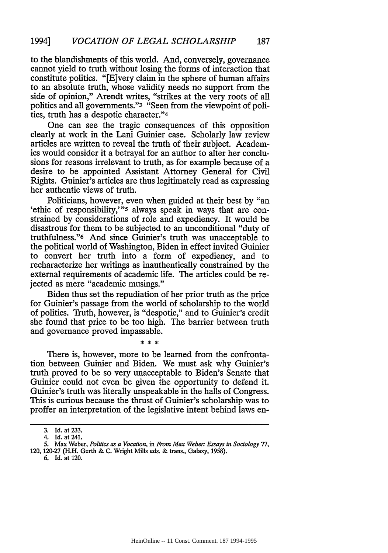to the blandishments of this world. And, conversely, governance cannot yield to truth without losing the forms of interaction that constitute politics. "[E]very claim in the sphere of human affairs to an absolute truth, whose validity needs no support from the side of opinion," Arendt writes, "strikes at the very roots of all politics and all governments."3 "Seen from the viewpoint of politics, truth has a despotic character."4

One can see the tragic consequences of this opposition clearly at work in the Lani Guinier case. Scholarly law review articles are written to reveal the truth of their subject. Academics would consider it a betrayal for an author to alter her conclusions for reasons irrelevant to truth, as for example because of a desire to be appointed Assistant Attorney General for Civil Rights. Guinier's articles are thus legitimately read as expressing her authentic views of truth.

Politicians, however, even when guided at their best by "an 'ethic of responsibility,'"<sup>5</sup> always speak in ways that are constrained by considerations of role and expediency. It would be disastrous for them to be subjected to an unconditional "duty of truthfulness."6 And since Guinier's truth was unacceptable to the political world of Washington, Biden in effect invited Guinier to convert her truth into a form of expediency, and to recharacterize her writings as inauthentically constrained by the external requirements of academic life. The articles could be rejected as mere "academic musings."

Biden thus set the repudiation of her prior truth as the price for Guinier's passage from the world of scholarship to the world of politics. Truth, however, is "despotic," and to Guinier's credit she found that price to be too high. The barrier between truth and governance proved impassable.

 $* * *$ 

There is, however, more to be learned from the confrontation between Guinier and Biden. We must ask why Guinier's truth proved to be so very unacceptable to Biden's Senate that Guinier could not even be given the opportunity to defend it. Guinier's truth was literally unspeakable in the halls of Congress. This is curious because the thrust of Guinier's scholarship was to proffer an interpretation of the legislative intent behind laws en-

120, 120-27 (H.H. Gerth & C. Wright Mills eds. & trans., Galaxy, 1958).

<sup>3.</sup> Id. at 233.

<sup>4.</sup> Id. at 241.

<sup>5.</sup> Max Weber, *Politics as a Vocation,* in *From Max Weber: Essays in Sociology* 77,

<sup>6.</sup> Id. at 120.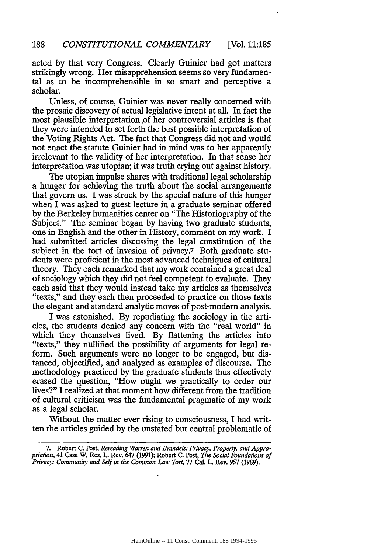acted by that very Congress. Clearly Guinier had got matters strikingly wrong. Her misapprehension seems so very fundamental as to be incomprehensible in so smart and perceptive a scholar.

Unless, of course, Guinier was never really concerned with the prosaic discovery of actual legislative intent at all. In fact the most plausible interpretation of her controversial articles is that they were intended to set forth the best possible interpretation of the Voting Rights Act. The fact that Congress did not and would not enact the statute Guinier had in mind was to her apparently irrelevant to the validity of her interpretation. In that sense her interpretation was utopian; it was truth crying out against history.

The utopian impulse shares with traditional legal scholarship a hunger for achieving the truth about the social arrangements that govern us. I was struck by the special nature of this hunger when I was asked to guest lecture in a graduate seminar offered by the Berkeley humanities center on "The Historiography of the Subject." The seminar began by having two graduate students, one in English and the other in History, comment on my work. I had submitted articles discussing the legal constitution of the subject in the tort of invasion of privacy.7 Both graduate students were proficient in the most advanced techniques of cultural theory. They each remarked that my work contained a great deal of sociology which they did not feel competent to evaluate. They each said that they would instead take my articles as themselves "texts," and they each then proceeded to practice on those texts the elegant and standard analytic moves of post-modern analysis.

I was astonished. By repudiating the sociology in the articles, the students denied any concern with the "real world" in which they themselves lived. By flattening the articles into "texts," they nullified the possibility of arguments for legal reform. Such arguments were no longer to be engaged, but distanced, objectified, and analyzed as examples of discourse. The methodology practiced by the graduate students thus effectively erased the question, "How ought we practically to order our lives?" I realized at that moment how different from the tradition of cultural criticism was the fundamental pragmatic of my work as a legal scholar.

Without the matter ever rising to consciousness, I had written the articles guided by the unstated but central problematic of

<sup>7.</sup> Robert C. Post, *Rereading Warren and Brandeis: Privacy, Property, and Appropriation,* 41 Case W. Res. L. Rev. 647 (1991); Robert **C.** Post, *The Social Foundations of Privacy: Community and Self in the Common Law Tort,* 77 Cal. L. Rev. 957 (1989).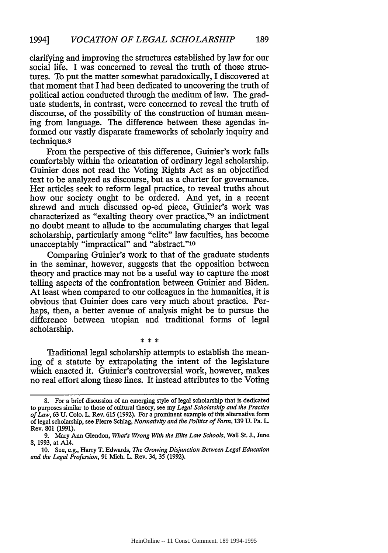clarifying and improving the structures established by law for our social life. I was concerned to reveal the truth of those structures. To put the matter somewhat paradoxically, I discovered at that moment that I had been dedicated to uncovering the truth of political action conducted through the medium of law. The graduate students, in contrast, were concerned to reveal the truth of discourse, of the possibility of the construction of human meaning from language. The difference between these agendas informed our vastly disparate frameworks of scholarly inquiry and technique.8

From the perspective of this difference, Guinier's work falls comfortably within the orientation of ordinary legal scholarship. Guinier does not read the Voting Rights Act as an objectified text to be analyzed as discourse, but as a charter for governance. Her articles seek to reform legal practice, to reveal truths about how our society ought to be ordered. And yet, in a recent shrewd and much discussed op-ed piece, Guinier's work was characterized as "exalting theory over practice,"9 an indictment no doubt meant to allude to the accumulating charges that legal scholarship, particularly among "elite" law faculties, has become unacceptably "impractical" and "abstract."<sup>10</sup>

Comparing Guinier's work to that of the graduate students in the seminar, however, suggests that the opposition between theory and practice may not be a useful way to capture the most telling aspects of the confrontation between Guinier and Biden. At least when compared to our colleagues in the humanities, it is obvious that Guinier does care very much about practice. Perhaps, then, a better avenue of analysis might be to pursue the difference between utopian and traditional forms of legal scholarship.

Traditional legal scholarship attempts to establish the meaning of a statute by extrapolating the intent of the legislature which enacted it. Guinier's controversial work, however, makes no real effort along these lines. It instead attributes to the Voting

 $* * *$ 

**<sup>8.</sup>** For a brief discussion of an emerging style of legal scholarship that is dedicated to purposes similar to those of cultural theory, see my *Legal Scholarship and the Practice of Law,* 63 U. Colo. L. Rev. 615 (1992). For a prominent example of this alternative form of legal scholarship, see Pierre Schlag, *Normativity and the Politics of Form,* 139 U. Pa. L. Rev. 801 (1991).

<sup>9.</sup> Mary Ann Glendon, *What's Wrong With the Elite Law Schools,* Wall St. J., June 8, 1993, at A14.

<sup>10.</sup> See, e.g., Harry T. Edwards, *The Growing Disjunction Between Legal Education and the Legal Profession,* 91 Mich. L. Rev. 34, 35 (1992).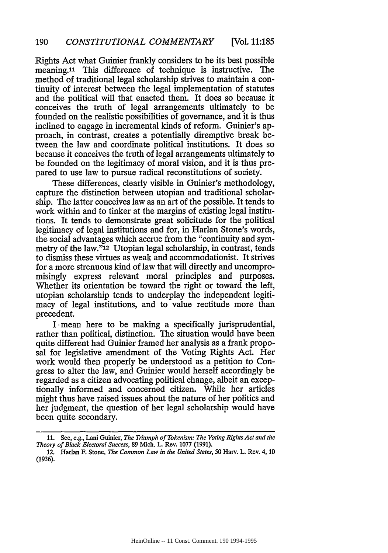Rights Act what Guinier frankly considers to be its best possible meaning.<sup>11</sup> This difference of technique is instructive. The method of traditional legal scholarship strives to maintain a continuity of interest between the legal implementation of statutes and the political will that enacted them. It does so because it conceives the truth of legal arrangements ultimately to be founded on the realistic possibilities of governance, and it is thus inclined to engage in incremental kinds of reform. Guinier's approach, in contrast, creates a potentially diremptive break between the law and coordinate political institutions. It does so because it conceives the truth of legal arrangements ultimately to be founded on the legitimacy of moral vision, and it is thus prepared to use law to pursue radical reconstitutions of society.

[Vol. **11:185**

These differences, clearly visible in Guinier's methodology, capture the distinction between utopian and traditional scholarship. The latter conceives law as an art of the possible. It tends to work within and to tinker at the margins of existing legal institutions. It tends to demonstrate great solicitude for the political legitimacy of legal institutions and for, in Harlan Stone's words, the social advantages which accrue from the "continuity and symmetry of the law."12 Utopian legal scholarship, in contrast, tends to dismiss these virtues as weak and accommodationist. It strives for a more strenuous kind of law that will directly and uncompromisingly express relevant moral principles and purposes. Whether its orientation be toward the right or toward the left, utopian scholarship tends to underplay the independent legitimacy of legal institutions, and to value rectitude more than precedent.

I mean here to be making a specifically jurisprudential, rather than political, distinction. The situation would have been quite different had Guinier framed her analysis as a frank proposal for legislative amendment of the Voting Rights Act. Her work would then properly be understood as a petition to Congress to alter the law, and Guinier would herself accordingly be regarded as a citizen advocating political change, albeit an exceptionally informed and concerned citizen. While her articles might thus have raised issues about the nature of her politics and her judgment, the question of her legal scholarship would have been quite secondary.

<sup>11.</sup> See, e.g., Lani Guinier, *The Triumph of Tokenism: The Voting Rights Act and the Theory of Black Electoral Success,* 89 Mich. L. Rev. 1077 (1991).

<sup>12.</sup> Harlan F. Stone, *The Common Law in the United States,* 50 Harv. L. Rev. 4, 10 (1936).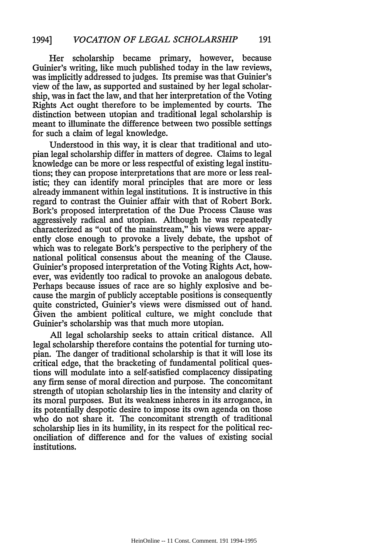Her scholarship became primary, however, because Guinier's writing, like much published today in the law reviews, was implicitly addressed to judges. Its premise was that Guinier's view of the law, as supported and sustained by her legal scholarship, was in fact the law, and that her interpretation of the Voting Rights Act ought therefore to be implemented by courts. The distinction between utopian and traditional legal scholarship is meant to illuminate the difference between two possible settings for such a claim of legal knowledge.

Understood in this way, it is clear that traditional and utopian legal scholarship differ in matters of degree. Claims to legal knowledge can be more or less respectful of existing legal institutions; they can propose interpretations that are more or less realistic; they can identify moral principles that are more or less already immanent within legal institutions. It is instructive in this regard to contrast the Guinier affair with that of Robert Bork. Bork's proposed interpretation of the Due Process Clause was aggressively radical and utopian. Although he was repeatedly characterized as "out of the mainstream," his views were apparently close enough to provoke a lively debate, the upshot of which was to relegate Bork's perspective to the periphery of the national political consensus about the meaning of the Clause. Guinier's proposed interpretation of the Voting Rights Act, however, was evidently too radical to provoke an analogous debate. Perhaps because issues of race are so highly explosive and because the margin of publicly acceptable positions is consequently quite constricted, Guinier's views were dismissed out of hand. Given the ambient political culture, we might conclude that Guinier's scholarship was that much more utopian.

All legal scholarship seeks to attain critical distance. All legal scholarship therefore contains the potential for turning utopian. The danger of traditional scholarship is that it will lose its critical edge, that the bracketing of fundamental political questions will modulate into a self-satisfied complacency dissipating any firm sense of moral direction and purpose. The concomitant strength of utopian scholarship lies in the intensity and clarity of its moral purposes. But its weakness inheres in its arrogance, in its potentially despotic desire to impose its own agenda on those who do not share it. The concomitant strength of traditional scholarship lies in its humility, in its respect for the political reconciliation of difference and for the values of existing social institutions.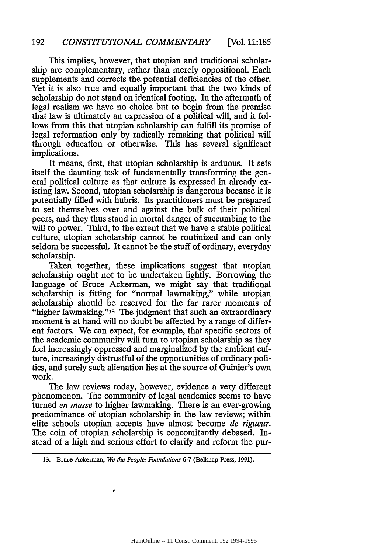This implies, however, that utopian and traditional scholarship are complementary, rather than merely oppositional. Each supplements and corrects the potential deficiencies of the other. Yet it is also true and equally important that the two kinds of scholarship do not stand on identical footing. In the aftermath of legal realism we have no choice but to begin from the premise that law is ultimately an expression of a political will, and it follows from this that utopian scholarship can fulfill its promise of legal reformation only by radically remaking that political will through education or otherwise. This has several significant implications.

It means, first, that utopian scholarship is arduous. It sets itself the daunting task of fundamentally transforming the general political culture as that culture is expressed in already existing law. Second, utopian scholarship is dangerous because it is potentially filled with hubris. Its practitioners must be prepared to set themselves over and against the bulk of their political peers, and they thus stand in mortal danger of succumbing to the will to power. Third, to the extent that we have a stable political culture, utopian scholarship cannot be routinized and can only seldom be successful. It cannot be the stuff of ordinary, everyday scholarship.

Taken together, these implications suggest that utopian scholarship ought not to be undertaken lightly. Borrowing the language of Bruce Ackerman, we might say that traditional scholarship is fitting for "normal lawmaking," while utopian scholarship should be reserved for the far rarer moments of "higher lawmaking."13 The judgment that such an extraordinary moment is at hand will no doubt be affected by a range of different factors. We can expect, for example, that specific sectors of the academic community will turn to utopian scholarship as they feel increasingly oppressed and marginalized by the ambient culture, increasingly distrustful of the opportunities of ordinary politics, and surely such alienation lies at the source of Guinier's own work.

The law reviews today, however, evidence a very different phenomenon. The community of legal academics seems to have turned *en masse* to higher lawmaking. There is an ever-growing predominance of utopian scholarship in the law reviews; within elite schools utopian accents have almost become *de rigueur.* The coin of utopian scholarship is concomitantly debased. Instead of a high and serious effort to clarify and reform the pur-

**<sup>13.</sup>** Bruce Ackerman, *We the People: Foundations* 6-7 (Belknap Press, 1991).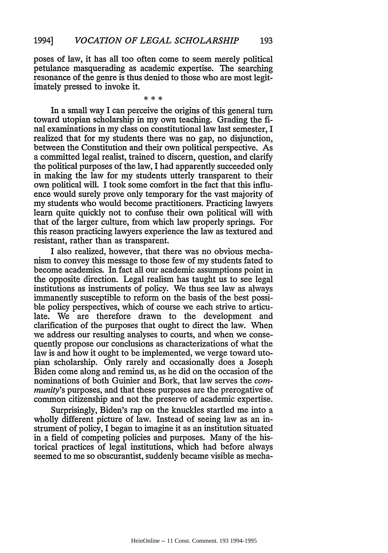poses of law, it has all too often come to seem merely political petulance masquerading as academic expertise. The searching resonance of the genre is thus denied to those who are most legitimately pressed to invoke it.

\* \*\*

In a small way I can perceive the origins of this general turn toward utopian scholarship in my own teaching. Grading the final examinations in my class on constitutional law last semester, I realized that for my students there was no gap, no disjunction, between the Constitution and their own political perspective. As a committed legal realist, trained to discern, question, and clarify the political purposes of the law, I had apparently succeeded only in making the law for my students utterly transparent to their own political will. I took some comfort in the fact that this influence would surely prove only temporary for the vast majority of my students who would become practitioners. Practicing lawyers learn quite quickly not to confuse their own political will with that of the larger culture, from which law properly springs. For this reason practicing lawyers experience the law as textured and resistant, rather than as transparent.

I also realized, however, that there was no obvious mechanism to convey this message to those few of my students fated to become academics. In fact all our academic assumptions point in the opposite direction. Legal realism has taught us to see legal institutions as instruments of policy. We thus see law as always immanently susceptible to reform on the basis of the best possible policy perspectives, which of course we each strive to articulate. We are therefore drawn to the development and clarification of the purposes that ought to direct the law. When we address our resulting analyses to courts, and when we consequently propose our conclusions as characterizations of what the law is and how it ought to be implemented, we verge toward utopian scholarship. Only rarely and occasionally does a Joseph Biden come along and remind us, as he did on the occasion of the nominations of both Guinier and Bork, that law serves the *community's* purposes, and that these purposes are the prerogative of common citizenship and not the preserve of academic expertise.

Surprisingly, Biden's rap on the knuckles startled me into a wholly different picture of law. Instead of seeing law as an instrument of policy, I began to imagine it as an institution situated in a field of competing policies and purposes. Many of the historical practices of legal institutions, which had before always seemed to me so obscurantist, suddenly became visible as mecha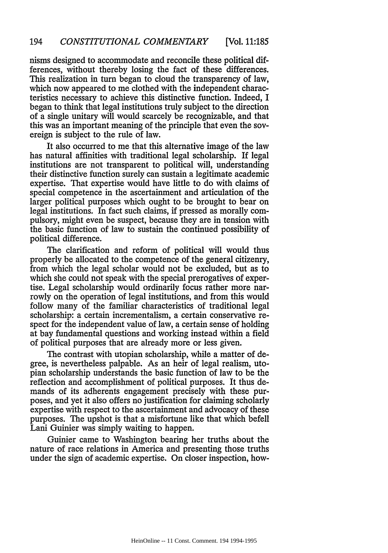nisms designed to accommodate and reconcile these political differences, without thereby losing the fact of these differences. This realization in turn began to cloud the transparency of law, which now appeared to me clothed with the independent characteristics necessary to achieve this distinctive function. Indeed, I began to think that legal institutions truly subject to the direction of a single unitary will would scarcely be recognizable, and that this was an important meaning of the principle that even the sovereign is subject to the rule of law.

It also occurred to me that this alternative image of the law has natural affinities with traditional legal scholarship. If legal institutions are not transparent to political will, understanding their distinctive function surely can sustain a legitimate academic expertise. That expertise would have little to do with claims of special competence in the ascertainment and articulation of the larger political purposes which ought to be brought to bear on legal institutions. In fact such claims, if pressed as morally compulsory, might even be suspect, because they are in tension with the basic function of law to sustain the continued possibility of political difference.

The clarification and reform of political will would thus properly be allocated to the competence of the general citizenry, from which the legal scholar would not be excluded, but as to which she could not speak with the special prerogatives of expertise. Legal scholarship would ordinarily focus rather more narrowly on the operation of legal institutions, and from this would follow many of the familiar characteristics of traditional legal scholarship: a certain incrementalism, a certain conservative respect for the independent value of law, a certain sense of holding at bay fundamental questions and working instead within a field of political purposes that are already more or less given.

The contrast with utopian scholarship, while a matter of degree, is nevertheless palpable. As an heir of legal realism, utopian scholarship understands the basic function of law to be the reflection and accomplishment of political purposes. It thus demands of its adherents engagement precisely with these purposes, and yet it also offers no justification for claiming scholarly expertise with respect to the ascertainment and advocacy of these purposes. The upshot is that a misfortune like that which befell Lani Guinier was simply waiting to happen.

Guinier came to Washington bearing her truths about the nature of race relations in America and presenting those truths under the sign of academic expertise. On closer inspection, how-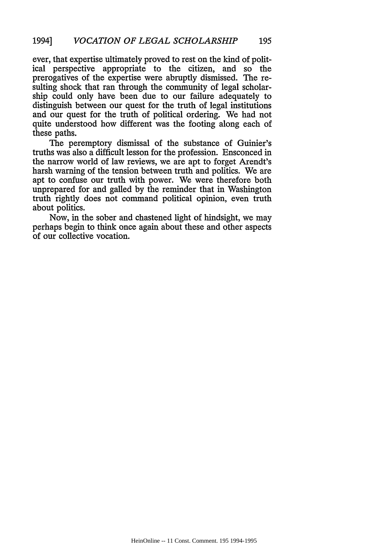ever, that expertise ultimately proved to rest on the kind of political perspective appropriate to the citizen, and so the prerogatives of the expertise were abruptly dismissed. The resulting shock that ran through the community of legal scholarship could only have been due to our failure adequately to distinguish between our quest for the truth of legal institutions and our quest for the truth of political ordering. We had not quite understood how different was the footing along each of these paths.

The peremptory dismissal of the substance of Guinier's truths was also a difficult lesson for the profession. Ensconced in the narrow world of law reviews, we are apt to forget Arendt's harsh warning of the tension between truth and politics. We are apt to confuse our truth with power. We were therefore both unprepared for and galled by the reminder that in Washington truth rightly does not command political opinion, even truth about politics.

Now, in the sober and chastened light of hindsight, we may perhaps begin to think once again about these and other aspects of our collective vocation.